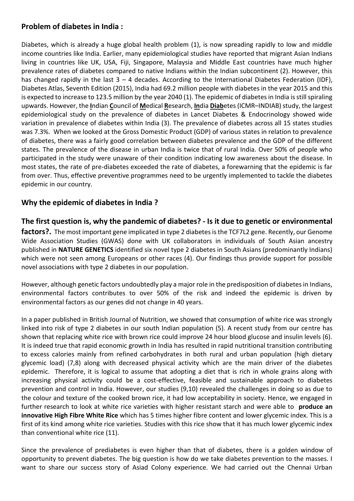## **Problem of diabetes in India :**

Diabetes, which is already a huge global health problem (1), is now spreading rapidly to low and middle income countries like India. Earlier, many epidemiological studies have reported that migrant Asian Indians living in countries like UK, USA, Fiji, Singapore, Malaysia and Middle East countries have much higher prevalence rates of diabetes compared to native Indians within the Indian subcontinent (2). However, this has changed rapidly in the last  $3 - 4$  decades. According to the International Diabetes Federation (IDF), Diabetes Atlas, Seventh Edition (2015), India had 69.2 million people with diabetes in the year 2015 and this is expected to increase to 123.5 million by the year 2040 (1). The epidemic of diabetes in India is still spiraling upwards. However, the **I**ndian **C**ouncil of **M**edical **R**esearch, **In**dia **Diab**etes (ICMR–INDIAB) study, the largest epidemiological study on the prevalence of diabetes in Lancet Diabetes & Endocrinology showed wide variation in prevalence of diabetes within India (3). The prevalence of diabetes across all 15 states studies was 7.3%. When we looked at the Gross Domestic Product (GDP) of various states in relation to prevalence of diabetes, there was a fairly good correlation between diabetes prevalence and the GDP of the different states. The prevalence of the disease in urban India is twice that of rural India. Over 50% of people who participated in the study were unaware of their condition indicating low awareness about the disease. In most states, the rate of pre-diabetes exceeded the rate of diabetes, a forewarning that the epidemic is far from over. Thus, effective preventive programmes need to be urgently implemented to tackle the diabetes epidemic in our country.

## **Why the epidemic of diabetes in India ?**

## **The first question is, why the pandemic of diabetes? - Is it due to genetic or environmental**

**factors?.** The most important gene implicated in type 2 diabetes is the TCF7L2 gene. Recently, our Genome Wide Association Studies (GWAS) done with UK collaborators in individuals of South Asian ancestry published in **NATURE GENETICS** identified six novel type 2 diabetes in South Asians (predominantly Indians) which were not seen among Europeans or other races (4). Our findings thus provide support for possible novel associations with type 2 diabetes in our population.

However, although genetic factors undoubtedly play a major role in the predisposition of diabetes in Indians, environmental factors contributes to over 50% of the risk and indeed the epidemic is driven by environmental factors as our genes did not change in 40 years.

In a paper published in British Journal of Nutrition, we showed that consumption of white rice was strongly linked into risk of type 2 diabetes in our south Indian population (5). A recent study from our centre has shown that replacing white rice with brown rice could improve 24 hour blood glucose and insulin levels (6). It is indeed true that rapid economic growth in India has resulted in rapid nutritional transition contributing to excess calories mainly from refined carbohydrates in both rural and urban population (high dietary glycemic load) (7,8) along with decreased physical activity which are the main driver of the diabetes epidemic. Therefore, it is logical to assume that adopting a diet that is rich in whole grains along with increasing physical activity could be a cost-effective, feasible and sustainable approach to diabetes prevention and control in India. However, our studies (9,10) revealed the challenges in doing so as due to the colour and texture of the cooked brown rice, it had low acceptability in society. Hence, we engaged in further research to look at white rice varieties with higher resistant starch and were able to **produce an innovative High Fibre White Rice** which has 5 times higher fibre content and lower glycemic index. This is a first of its kind among white rice varieties. Studies with this rice show that it has much lower glycemic index than conventional white rice (11).

Since the prevalence of prediabetes is even higher than that of diabetes, there is a golden window of opportunity to prevent diabetes. The big question is how do we take diabetes prevention to the masses. I want to share our success story of Asiad Colony experience. We had carried out the Chennai Urban